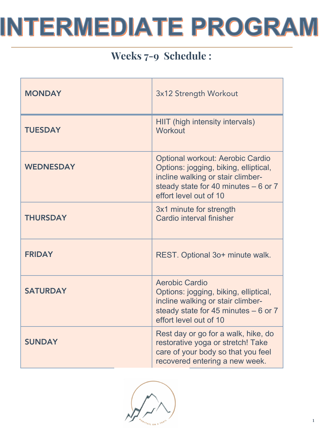## Weeks 7-9 Schedule :

| <b>MONDAY</b>    | 3x12 Strength Workout                                                                                                                                                                    |
|------------------|------------------------------------------------------------------------------------------------------------------------------------------------------------------------------------------|
| <b>TUESDAY</b>   | HIIT (high intensity intervals)<br><b>Workout</b>                                                                                                                                        |
| <b>WEDNESDAY</b> | <b>Optional workout: Aerobic Cardio</b><br>Options: jogging, biking, elliptical,<br>incline walking or stair climber-<br>steady state for 40 minutes $-6$ or 7<br>effort level out of 10 |
| <b>THURSDAY</b>  | 3x1 minute for strength<br>Cardio interval finisher                                                                                                                                      |
| <b>FRIDAY</b>    | REST. Optional 3o+ minute walk.                                                                                                                                                          |
| <b>SATURDAY</b>  | <b>Aerobic Cardio</b><br>Options: jogging, biking, elliptical,<br>incline walking or stair climber-<br>steady state for 45 minutes $-6$ or 7<br>effort level out of 10                   |
| <b>SUNDAY</b>    | Rest day or go for a walk, hike, do<br>restorative yoga or stretch! Take<br>care of your body so that you feel<br>recovered entering a new week.                                         |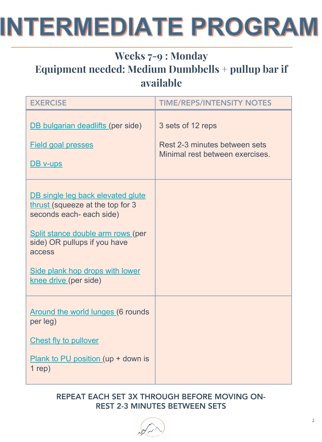### Weeks 7-9 : Monday Equipment needed: Medium Dumbbells + pullup bar if available

| <b>EXERCISE</b>                                                                                                                                                                                                                              | <b>TIME/REPS/INTENSITY NOTES</b>                                                      |
|----------------------------------------------------------------------------------------------------------------------------------------------------------------------------------------------------------------------------------------------|---------------------------------------------------------------------------------------|
| DB bulgarian deadlifts (per side)<br><b>Field goal presses</b><br>DB v-ups                                                                                                                                                                   | 3 sets of 12 reps<br>Rest 2-3 minutes between sets<br>Minimal rest between exercises. |
| DB single leg back elevated glute<br>thrust (squeeze at the top for 3<br>seconds each- each side)<br>Split stance double arm rows (per<br>side) OR pullups if you have<br>access<br>Side plank hop drops with lower<br>knee drive (per side) |                                                                                       |
| Around the world lunges (6 rounds<br>per leg)<br><b>Chest fly to pullover</b><br>Plank to PU position (up + down is<br>$1$ rep)                                                                                                              |                                                                                       |

#### REPEAT EACH SET 3X THROUGH BEFORE MOVING ON-REST 2-3 MINUTES BETWEEN SETS

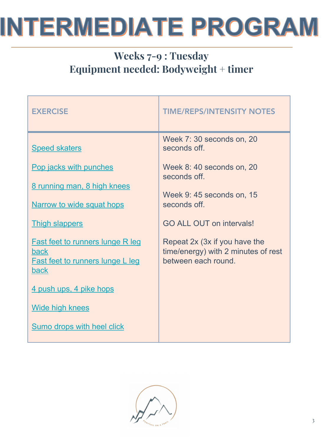## Weeks 7-9 : Tuesday Equipment needed: Bodyweight + timer

| <b>EXERCISE</b>                                                                                                  | <b>TIME/REPS/INTENSITY NOTES</b>                                                            |
|------------------------------------------------------------------------------------------------------------------|---------------------------------------------------------------------------------------------|
| <b>Speed skaters</b>                                                                                             | Week 7:30 seconds on, 20<br>seconds off.                                                    |
| Pop jacks with punches                                                                                           | Week 8:40 seconds on, 20<br>seconds off.                                                    |
| 8 running man, 8 high knees<br>Narrow to wide squat hops                                                         | Week 9: 45 seconds on, 15<br>seconds off.                                                   |
| <b>Thigh slappers</b>                                                                                            | <b>GO ALL OUT on intervals!</b>                                                             |
| <b>Fast feet to runners lunge R leg</b><br><b>back</b><br><b>Fast feet to runners lunge L leg</b><br><b>back</b> | Repeat 2x (3x if you have the<br>time/energy) with 2 minutes of rest<br>between each round. |
| 4 push ups, 4 pike hops                                                                                          |                                                                                             |
| <b>Wide high knees</b>                                                                                           |                                                                                             |
| Sumo drops with heel click                                                                                       |                                                                                             |